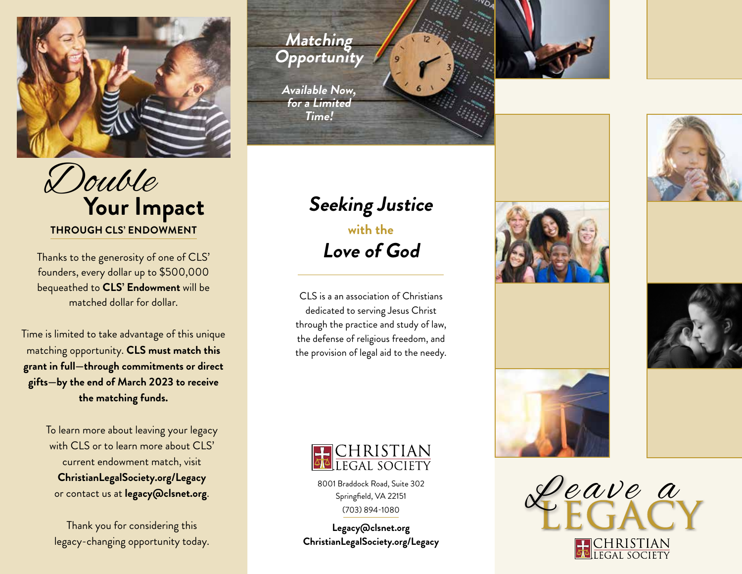

 Double  **Your Impact Seeking Justice THROUGH CLS' ENDOWMENT**

Thanks to the generosity of one of CLS' founders, every dollar up to \$500,000 bequeathed to **CLS' Endowment** will be matched dollar for dollar.

Time is limited to take advantage of this unique matching opportunity. **CLS must match this grant in full—through commitments or direct gifts—by the end of March 2023 to receive the matching funds.** 

> To learn more about leaving your legacy with CLS or to learn more about CLS' current endowment match, visit **ChristianLegalSociety.org/Legacy**  or contact us at **legacy@clsnet.org**.

Thank you for considering this legacy-changing opportunity today.

**Matching Opportunity**

**Available Now, for a Limited Time!**

## **with the Love of God**

CLS is a an association of Christians dedicated to serving Jesus Christ through the practice and study of law, the defense of religious freedom, and the provision of legal aid to the needy.



8001 Braddock Road, Suite 302 Springfield, VA 22151 (703) 894-1080

**Legacy@clsnet.org ChristianLegalSociety.org/Legacy**